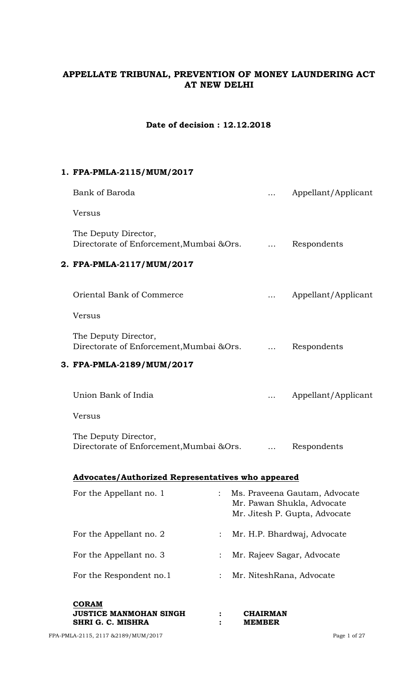# **APPELLATE TRIBUNAL, PREVENTION OF MONEY LAUNDERING ACT AT NEW DELHI**

## **Date of decision : 12.12.2018**

### **1. FPA-PMLA-2115/MUM/2017**

| Bank of Baroda                                                    |                                  | Appellant/Applicant                                                                          |
|-------------------------------------------------------------------|----------------------------------|----------------------------------------------------------------------------------------------|
| Versus                                                            |                                  |                                                                                              |
| The Deputy Director,<br>Directorate of Enforcement, Mumbai & Ors. |                                  | Respondents                                                                                  |
| 2. FPA-PMLA-2117/MUM/2017                                         |                                  |                                                                                              |
| Oriental Bank of Commerce                                         |                                  | Appellant/Applicant                                                                          |
| Versus                                                            |                                  |                                                                                              |
| The Deputy Director,<br>Directorate of Enforcement, Mumbai & Ors. |                                  | Respondents                                                                                  |
| 3. FPA-PMLA-2189/MUM/2017                                         |                                  |                                                                                              |
| Union Bank of India                                               |                                  | Appellant/Applicant                                                                          |
| Versus                                                            |                                  |                                                                                              |
| The Deputy Director,<br>Directorate of Enforcement, Mumbai & Ors. |                                  | Respondents                                                                                  |
| Advocates/Authorized Representatives who appeared                 |                                  |                                                                                              |
| For the Appellant no. 1                                           |                                  | Ms. Praveena Gautam, Advocate<br>Mr. Pawan Shukla, Advocate<br>Mr. Jitesh P. Gupta, Advocate |
| For the Appellant no. 2                                           |                                  | Mr. H.P. Bhardwaj, Advocate                                                                  |
| For the Appellant no. 3                                           |                                  | Mr. Rajeev Sagar, Advocate                                                                   |
| For the Respondent no.1                                           |                                  | Mr. NiteshRana, Advocate                                                                     |
| <b>CORAM</b><br>JUSTICE MANMOHAN SINGH<br>SHRI G. C. MISHRA       | <b>CHAIRMAN</b><br><b>MEMBER</b> |                                                                                              |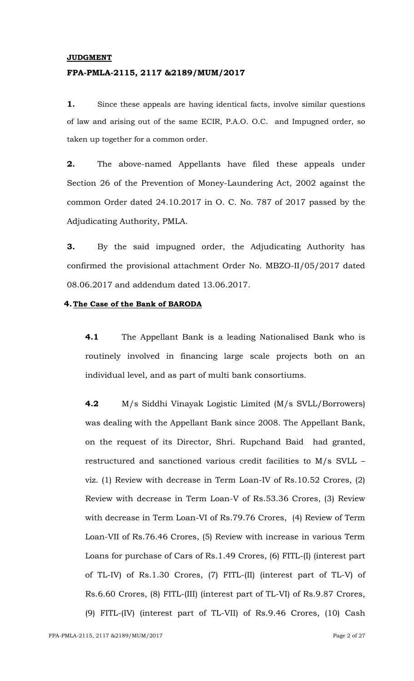#### **JUDGMENT**

#### **FPA-PMLA-2115, 2117 &2189/MUM/2017**

**1.** Since these appeals are having identical facts, involve similar questions of law and arising out of the same ECIR, P.A.O. O.C. and Impugned order, so taken up together for a common order.

**2.** The above-named Appellants have filed these appeals under Section 26 of the Prevention of Money-Laundering Act, 2002 against the common Order dated 24.10.2017 in O. C. No. 787 of 2017 passed by the Adjudicating Authority, PMLA.

**3.** By the said impugned order, the Adjudicating Authority has confirmed the provisional attachment Order No. MBZO-II/05/2017 dated 08.06.2017 and addendum dated 13.06.2017.

#### **4.The Case of the Bank of BARODA**

**4.1** The Appellant Bank is a leading Nationalised Bank who is routinely involved in financing large scale projects both on an individual level, and as part of multi bank consortiums.

**4.2** M/s Siddhi Vinayak Logistic Limited (M/s SVLL/Borrowers) was dealing with the Appellant Bank since 2008. The Appellant Bank, on the request of its Director, Shri. Rupchand Baid had granted, restructured and sanctioned various credit facilities to M/s SVLL – viz. (1) Review with decrease in Term Loan-IV of Rs.10.52 Crores, (2) Review with decrease in Term Loan-V of Rs.53.36 Crores, (3) Review with decrease in Term Loan-VI of Rs.79.76 Crores, (4) Review of Term Loan-VII of Rs.76.46 Crores, (5) Review with increase in various Term Loans for purchase of Cars of Rs.1.49 Crores, (6) FITL-(I) (interest part of TL-IV) of Rs.1.30 Crores, (7) FITL-(II) (interest part of TL-V) of Rs.6.60 Crores, (8) FITL-(III) (interest part of TL-VI) of Rs.9.87 Crores, (9) FITL-(IV) (interest part of TL-VII) of Rs.9.46 Crores, (10) Cash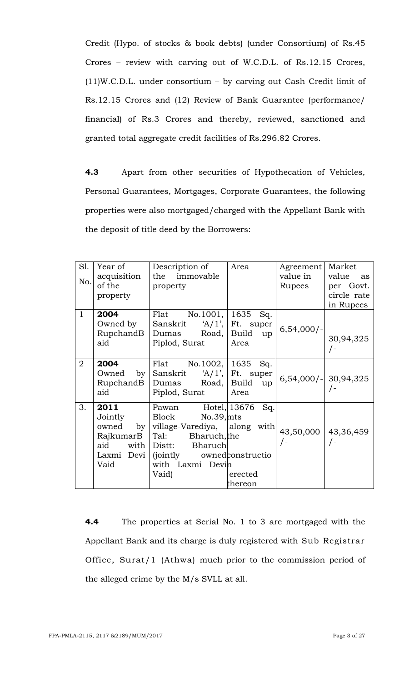Credit (Hypo. of stocks & book debts) (under Consortium) of Rs.45 Crores – review with carving out of W.C.D.L. of Rs.12.15 Crores, (11)W.C.D.L. under consortium – by carving out Cash Credit limit of Rs.12.15 Crores and (12) Review of Bank Guarantee (performance/ financial) of Rs.3 Crores and thereby, reviewed, sanctioned and granted total aggregate credit facilities of Rs.296.82 Crores.

**4.3** Apart from other securities of Hypothecation of Vehicles, Personal Guarantees, Mortgages, Corporate Guarantees, the following properties were also mortgaged/charged with the Appellant Bank with the deposit of title deed by the Borrowers:

| S1.            | Year of       | Description of                      | Area             | Agreement                | Market      |
|----------------|---------------|-------------------------------------|------------------|--------------------------|-------------|
|                | acquisition   | the immovable                       |                  | value in                 | value<br>as |
| No.            | of the        | property                            |                  | Rupees                   | per Govt.   |
|                | property      |                                     |                  |                          | circle rate |
|                |               |                                     |                  |                          | in Rupees   |
| $\mathbf{1}$   | 2004          | Flat No. 1001,   $1635$ Sq.         |                  |                          |             |
|                | Owned by $\ $ | Sanskrit $A/1$ ', Ft. super         |                  |                          |             |
|                |               | RupchandB Dumas Road, Build up      |                  | $6,54,000/-$             |             |
|                | aid           | Piplod, Surat                       | Area             |                          | 30,94,325   |
|                |               |                                     |                  |                          |             |
| $\overline{2}$ | 2004          | Flat No.1002,   1635 Sq.            |                  |                          |             |
|                |               | Owned by Sanskrit 'A/1', Ft. super  |                  |                          |             |
|                |               | RupchandB Dumas Road, Build up      |                  | $6,54,000$ / - 30,94,325 |             |
|                | aid           | Piplod, Surat                       | Area             |                          | $\sqrt{-}$  |
| 3.             | 2011          | Pawan                               | Hotel, 13676 Sq. |                          |             |
|                | Jointly       | Block<br>No.39,mts                  |                  |                          |             |
|                | owned         | by   village-Varediya,   along with |                  |                          |             |
|                |               | $RaikumarB$ $ Tal:$ Bharuch, the    |                  | 43,50,000 43,36,459      |             |
|                | aid<br>with   | Distt: Bharuch                      |                  | $\bigg)$                 | $\sqrt{-}$  |
|                | Laxmi Devi    | <i>(jointly)</i>                    | ownedconstructio |                          |             |
|                | Vaid          | with Laxmi Devin                    |                  |                          |             |
|                |               | Vaid)                               | erected          |                          |             |
|                |               |                                     | thereon          |                          |             |
|                |               |                                     |                  |                          |             |

**4.4** The properties at Serial No. 1 to 3 are mortgaged with the Appellant Bank and its charge is duly registered with Sub Registrar Office, Surat/1 (Athwa) much prior to the commission period of the alleged crime by the M/s SVLL at all.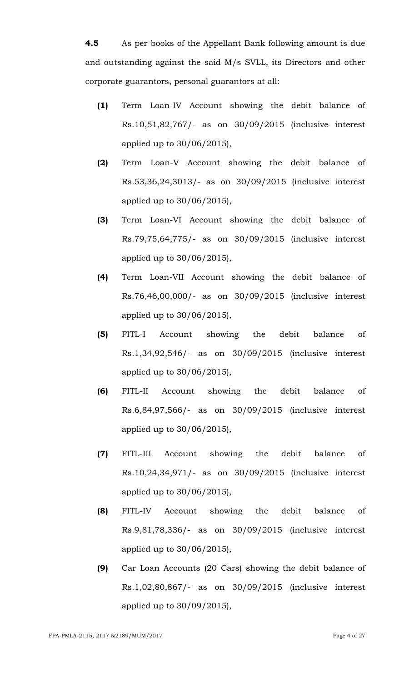**4.5** As per books of the Appellant Bank following amount is due and outstanding against the said M/s SVLL, its Directors and other corporate guarantors, personal guarantors at all:

- **(1)** Term Loan-IV Account showing the debit balance of Rs.10,51,82,767/- as on 30/09/2015 (inclusive interest applied up to 30/06/2015),
- **(2)** Term Loan-V Account showing the debit balance of Rs.53,36,24,3013/- as on 30/09/2015 (inclusive interest applied up to 30/06/2015),
- **(3)** Term Loan-VI Account showing the debit balance of Rs.79,75,64,775/- as on 30/09/2015 (inclusive interest applied up to 30/06/2015),
- **(4)** Term Loan-VII Account showing the debit balance of Rs.76,46,00,000/- as on 30/09/2015 (inclusive interest applied up to 30/06/2015),
- **(5)** FITL-I Account showing the debit balance of Rs.1,34,92,546/- as on 30/09/2015 (inclusive interest applied up to 30/06/2015),
- **(6)** FITL-II Account showing the debit balance of Rs.6,84,97,566/- as on 30/09/2015 (inclusive interest applied up to 30/06/2015),
- **(7)** FITL-III Account showing the debit balance of Rs.10,24,34,971/- as on 30/09/2015 (inclusive interest applied up to 30/06/2015),
- **(8)** FITL-IV Account showing the debit balance of Rs.9,81,78,336/- as on 30/09/2015 (inclusive interest applied up to 30/06/2015),
- **(9)** Car Loan Accounts (20 Cars) showing the debit balance of Rs.1,02,80,867/- as on 30/09/2015 (inclusive interest applied up to 30/09/2015),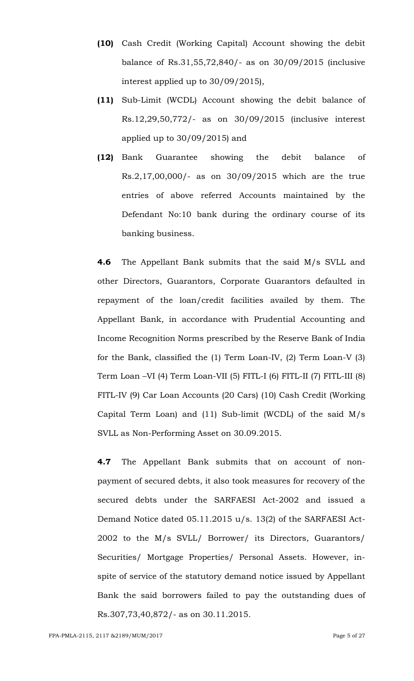- **(10)** Cash Credit (Working Capital) Account showing the debit balance of Rs.31,55,72,840/- as on 30/09/2015 (inclusive interest applied up to 30/09/2015),
- **(11)** Sub-Limit (WCDL) Account showing the debit balance of Rs.12,29,50,772/- as on 30/09/2015 (inclusive interest applied up to 30/09/2015) and
- **(12)** Bank Guarantee showing the debit balance of Rs.2,17,00,000/- as on 30/09/2015 which are the true entries of above referred Accounts maintained by the Defendant No:10 bank during the ordinary course of its banking business.

**4.6** The Appellant Bank submits that the said M/s SVLL and other Directors, Guarantors, Corporate Guarantors defaulted in repayment of the loan/credit facilities availed by them. The Appellant Bank, in accordance with Prudential Accounting and Income Recognition Norms prescribed by the Reserve Bank of India for the Bank, classified the (1) Term Loan-IV, (2) Term Loan-V (3) Term Loan –VI (4) Term Loan-VII (5) FITL-I (6) FITL-II (7) FITL-III (8) FITL-IV (9) Car Loan Accounts (20 Cars) (10) Cash Credit (Working Capital Term Loan) and (11) Sub-limit (WCDL) of the said M/s SVLL as Non-Performing Asset on 30.09.2015.

**4.7** The Appellant Bank submits that on account of nonpayment of secured debts, it also took measures for recovery of the secured debts under the SARFAESI Act-2002 and issued a Demand Notice dated 05.11.2015 u/s. 13(2) of the SARFAESI Act-2002 to the M/s SVLL/ Borrower/ its Directors, Guarantors/ Securities/ Mortgage Properties/ Personal Assets. However, inspite of service of the statutory demand notice issued by Appellant Bank the said borrowers failed to pay the outstanding dues of Rs.307,73,40,872/- as on 30.11.2015.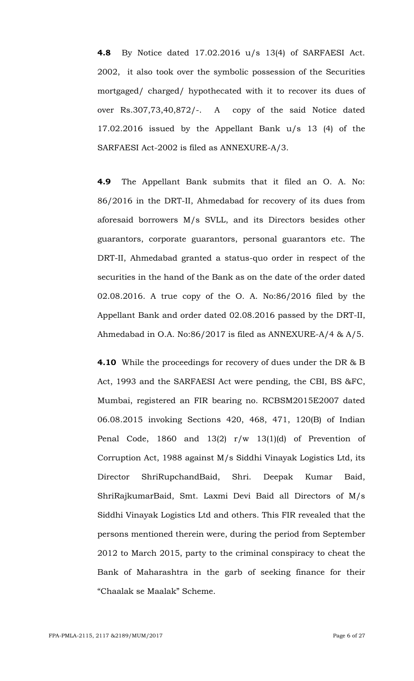**4.8** By Notice dated 17.02.2016 u/s 13(4) of SARFAESI Act. 2002, it also took over the symbolic possession of the Securities mortgaged/ charged/ hypothecated with it to recover its dues of over Rs.307,73,40,872/-. A copy of the said Notice dated 17.02.2016 issued by the Appellant Bank u/s 13 (4) of the SARFAESI Act-2002 is filed as ANNEXURE-A/3.

**4.9** The Appellant Bank submits that it filed an O. A. No: 86/2016 in the DRT-II, Ahmedabad for recovery of its dues from aforesaid borrowers M/s SVLL, and its Directors besides other guarantors, corporate guarantors, personal guarantors etc. The DRT-II, Ahmedabad granted a status-quo order in respect of the securities in the hand of the Bank as on the date of the order dated 02.08.2016. A true copy of the O. A. No:86/2016 filed by the Appellant Bank and order dated 02.08.2016 passed by the DRT-II, Ahmedabad in O.A. No:86/2017 is filed as ANNEXURE-A/4 & A/5.

**4.10** While the proceedings for recovery of dues under the DR & B Act, 1993 and the SARFAESI Act were pending, the CBI, BS &FC, Mumbai, registered an FIR bearing no. RCBSM2015E2007 dated 06.08.2015 invoking Sections 420, 468, 471, 120(B) of Indian Penal Code, 1860 and 13(2) r/w 13(1)(d) of Prevention of Corruption Act, 1988 against M/s Siddhi Vinayak Logistics Ltd, its Director ShriRupchandBaid, Shri. Deepak Kumar Baid, ShriRajkumarBaid, Smt. Laxmi Devi Baid all Directors of M/s Siddhi Vinayak Logistics Ltd and others. This FIR revealed that the persons mentioned therein were, during the period from September 2012 to March 2015, party to the criminal conspiracy to cheat the Bank of Maharashtra in the garb of seeking finance for their "Chaalak se Maalak" Scheme.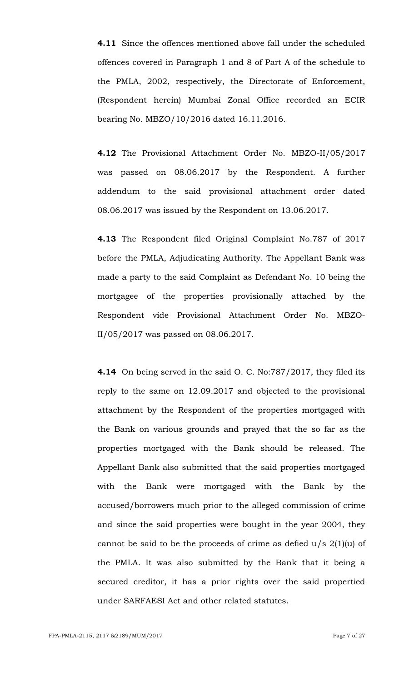**4.11** Since the offences mentioned above fall under the scheduled offences covered in Paragraph 1 and 8 of Part A of the schedule to the PMLA, 2002, respectively, the Directorate of Enforcement, (Respondent herein) Mumbai Zonal Office recorded an ECIR bearing No. MBZO/10/2016 dated 16.11.2016.

**4.12** The Provisional Attachment Order No. MBZO-II/05/2017 was passed on 08.06.2017 by the Respondent. A further addendum to the said provisional attachment order dated 08.06.2017 was issued by the Respondent on 13.06.2017.

**4.13** The Respondent filed Original Complaint No.787 of 2017 before the PMLA, Adjudicating Authority. The Appellant Bank was made a party to the said Complaint as Defendant No. 10 being the mortgagee of the properties provisionally attached by the Respondent vide Provisional Attachment Order No. MBZO-II/05/2017 was passed on 08.06.2017.

**4.14** On being served in the said O. C. No:787/2017, they filed its reply to the same on 12.09.2017 and objected to the provisional attachment by the Respondent of the properties mortgaged with the Bank on various grounds and prayed that the so far as the properties mortgaged with the Bank should be released. The Appellant Bank also submitted that the said properties mortgaged with the Bank were mortgaged with the Bank by the accused/borrowers much prior to the alleged commission of crime and since the said properties were bought in the year 2004, they cannot be said to be the proceeds of crime as defied u/s 2(1)(u) of the PMLA. It was also submitted by the Bank that it being a secured creditor, it has a prior rights over the said propertied under SARFAESI Act and other related statutes.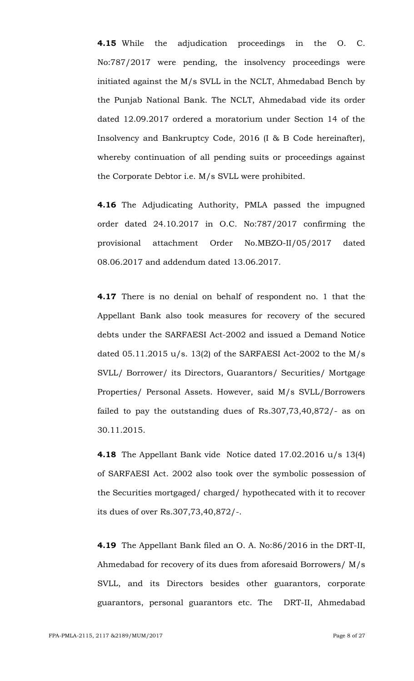**4.15** While the adjudication proceedings in the O. C. No:787/2017 were pending, the insolvency proceedings were initiated against the M/s SVLL in the NCLT, Ahmedabad Bench by the Punjab National Bank. The NCLT, Ahmedabad vide its order dated 12.09.2017 ordered a moratorium under Section 14 of the Insolvency and Bankruptcy Code, 2016 (I & B Code hereinafter), whereby continuation of all pending suits or proceedings against the Corporate Debtor i.e. M/s SVLL were prohibited.

**4.16** The Adjudicating Authority, PMLA passed the impugned order dated 24.10.2017 in O.C. No:787/2017 confirming the provisional attachment Order No.MBZO-II/05/2017 dated 08.06.2017 and addendum dated 13.06.2017.

**4.17** There is no denial on behalf of respondent no. 1 that the Appellant Bank also took measures for recovery of the secured debts under the SARFAESI Act-2002 and issued a Demand Notice dated 05.11.2015 u/s. 13(2) of the SARFAESI Act-2002 to the M/s SVLL/ Borrower/ its Directors, Guarantors/ Securities/ Mortgage Properties/ Personal Assets. However, said M/s SVLL/Borrowers failed to pay the outstanding dues of Rs.307,73,40,872/- as on 30.11.2015.

**4.18** The Appellant Bank vide Notice dated 17.02.2016 u/s 13(4) of SARFAESI Act. 2002 also took over the symbolic possession of the Securities mortgaged/ charged/ hypothecated with it to recover its dues of over Rs.307,73,40,872/-.

**4.19** The Appellant Bank filed an O. A. No:86/2016 in the DRT-II, Ahmedabad for recovery of its dues from aforesaid Borrowers/ M/s SVLL, and its Directors besides other guarantors, corporate guarantors, personal guarantors etc. The DRT-II, Ahmedabad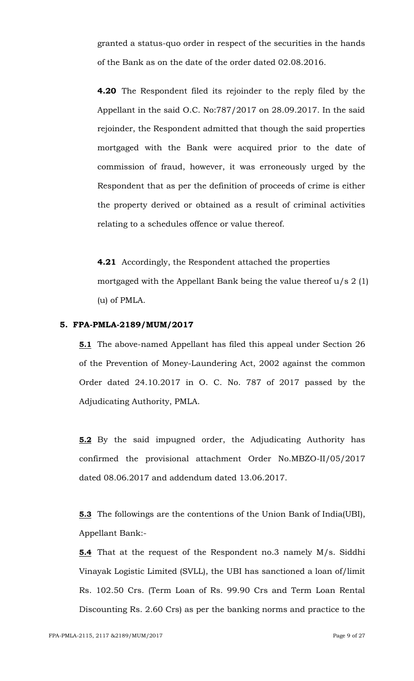granted a status-quo order in respect of the securities in the hands of the Bank as on the date of the order dated 02.08.2016.

**4.20** The Respondent filed its rejoinder to the reply filed by the Appellant in the said O.C. No:787/2017 on 28.09.2017. In the said rejoinder, the Respondent admitted that though the said properties mortgaged with the Bank were acquired prior to the date of commission of fraud, however, it was erroneously urged by the Respondent that as per the definition of proceeds of crime is either the property derived or obtained as a result of criminal activities relating to a schedules offence or value thereof.

**4.21** Accordingly, the Respondent attached the properties mortgaged with the Appellant Bank being the value thereof  $u/s$  2 (1) (u) of PMLA.

#### **5. FPA-PMLA-2189/MUM/2017**

**5.1** The above-named Appellant has filed this appeal under Section 26 of the Prevention of Money-Laundering Act, 2002 against the common Order dated 24.10.2017 in O. C. No. 787 of 2017 passed by the Adjudicating Authority, PMLA.

**5.2** By the said impugned order, the Adjudicating Authority has confirmed the provisional attachment Order No.MBZO-II/05/2017 dated 08.06.2017 and addendum dated 13.06.2017.

**5.3** The followings are the contentions of the Union Bank of India(UBI), Appellant Bank:-

**5.4** That at the request of the Respondent no.3 namely M/s. Siddhi Vinayak Logistic Limited (SVLL), the UBI has sanctioned a loan of/limit Rs. 102.50 Crs. (Term Loan of Rs. 99.90 Crs and Term Loan Rental Discounting Rs. 2.60 Crs) as per the banking norms and practice to the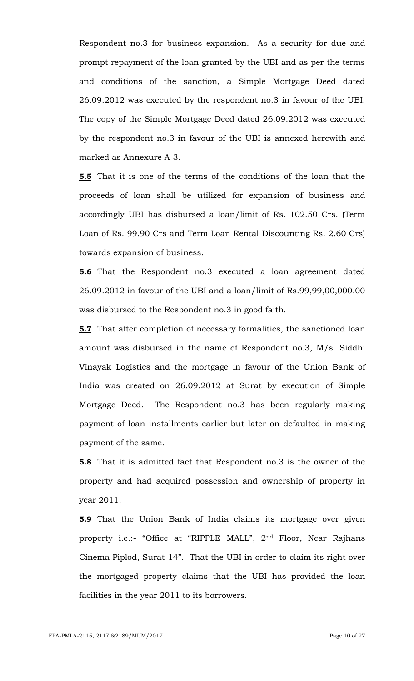Respondent no.3 for business expansion. As a security for due and prompt repayment of the loan granted by the UBI and as per the terms and conditions of the sanction, a Simple Mortgage Deed dated 26.09.2012 was executed by the respondent no.3 in favour of the UBI. The copy of the Simple Mortgage Deed dated 26.09.2012 was executed by the respondent no.3 in favour of the UBI is annexed herewith and marked as Annexure A-3.

**5.5** That it is one of the terms of the conditions of the loan that the proceeds of loan shall be utilized for expansion of business and accordingly UBI has disbursed a loan/limit of Rs. 102.50 Crs. (Term Loan of Rs. 99.90 Crs and Term Loan Rental Discounting Rs. 2.60 Crs) towards expansion of business.

**5.6** That the Respondent no.3 executed a loan agreement dated 26.09.2012 in favour of the UBI and a loan/limit of Rs.99,99,00,000.00 was disbursed to the Respondent no.3 in good faith.

**5.7** That after completion of necessary formalities, the sanctioned loan amount was disbursed in the name of Respondent no.3, M/s. Siddhi Vinayak Logistics and the mortgage in favour of the Union Bank of India was created on 26.09.2012 at Surat by execution of Simple Mortgage Deed. The Respondent no.3 has been regularly making payment of loan installments earlier but later on defaulted in making payment of the same.

**5.8** That it is admitted fact that Respondent no.3 is the owner of the property and had acquired possession and ownership of property in year 2011.

**5.9** That the Union Bank of India claims its mortgage over given property i.e.:- "Office at "RIPPLE MALL", 2nd Floor, Near Rajhans Cinema Piplod, Surat-14". That the UBI in order to claim its right over the mortgaged property claims that the UBI has provided the loan facilities in the year 2011 to its borrowers.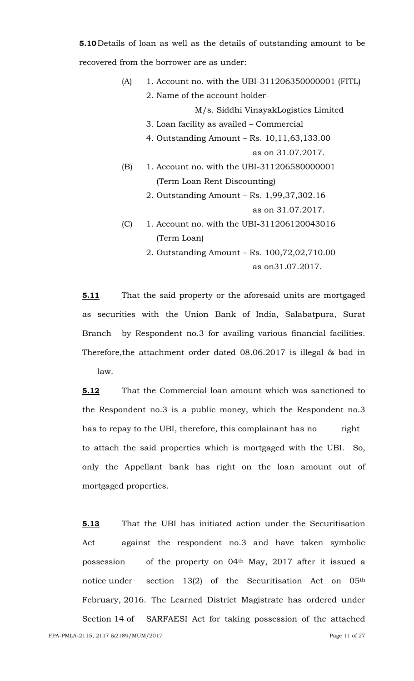**5.10**Details of loan as well as the details of outstanding amount to be recovered from the borrower are as under:

- (A) 1. Account no. with the UBI-311206350000001 (FITL) 2. Name of the account holder-M/s. Siddhi VinayakLogistics Limited 3. Loan facility as availed – Commercial
	- 4. Outstanding Amount Rs. 10,11,63,133.00

as on 31.07.2017.

- (B) 1. Account no. with the UBI-311206580000001 (Term Loan Rent Discounting)
	- 2. Outstanding Amount Rs. 1,99,37,302.16 as on 31.07.2017.
- (C) 1. Account no. with the UBI-311206120043016 (Term Loan)
	- 2. Outstanding Amount Rs. 100,72,02,710.00 as on31.07.2017.

**5.11** That the said property or the aforesaid units are mortgaged as securities with the Union Bank of India, Salabatpura, Surat Branch by Respondent no.3 for availing various financial facilities. Therefore,the attachment order dated 08.06.2017 is illegal & bad in law.

**5.12** That the Commercial loan amount which was sanctioned to the Respondent no.3 is a public money, which the Respondent no.3 has to repay to the UBI, therefore, this complainant has no right to attach the said properties which is mortgaged with the UBI. So, only the Appellant bank has right on the loan amount out of mortgaged properties.

**5.13** That the UBI has initiated action under the Securitisation Act against the respondent no.3 and have taken symbolic possession of the property on 04th May, 2017 after it issued a notice under section 13(2) of the Securitisation Act on 05<sup>th</sup> February, 2016. The Learned District Magistrate has ordered under Section 14 of SARFAESI Act for taking possession of the attached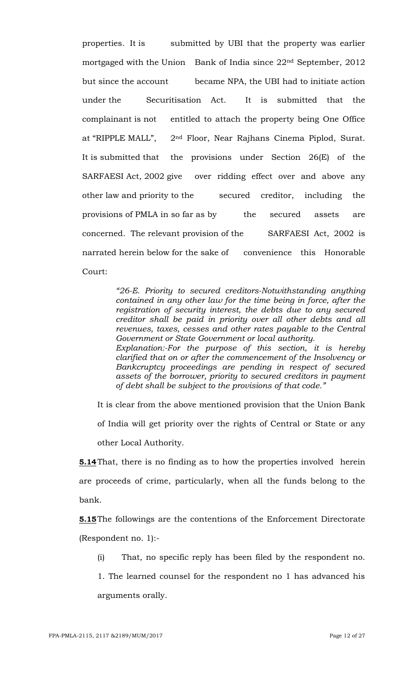properties. It is submitted by UBI that the property was earlier mortgaged with the Union Bank of India since 22nd September, 2012 but since the account became NPA, the UBI had to initiate action under the Securitisation Act. It is submitted that the complainant is not entitled to attach the property being One Office at "RIPPLE MALL", 2nd Floor, Near Rajhans Cinema Piplod, Surat. It is submitted that the provisions under Section 26(E) of the SARFAESI Act, 2002 give over ridding effect over and above any other law and priority to the secured creditor, including the provisions of PMLA in so far as by the secured assets are concerned. The relevant provision of the SARFAESI Act, 2002 is narrated herein below for the sake of convenience this Honorable Court:

> *"26-E. Priority to secured creditors-Notwithstanding anything contained in any other law for the time being in force, after the registration of security interest, the debts due to any secured creditor shall be paid in priority over all other debts and all revenues, taxes, cesses and other rates payable to the Central Government or State Government or local authority. Explanation:-For the purpose of this section, it is hereby clarified that on or after the commencement of the Insolvency or Bankcruptcy proceedings are pending in respect of secured assets of the borrower, priority to secured creditors in payment of debt shall be subject to the provisions of that code."*

It is clear from the above mentioned provision that the Union Bank of India will get priority over the rights of Central or State or any other Local Authority.

**<u>5.14</u>** That, there is no finding as to how the properties involved herein are proceeds of crime, particularly, when all the funds belong to the bank.

**5.15**The followings are the contentions of the Enforcement Directorate (Respondent no. 1):-

(i) That, no specific reply has been filed by the respondent no.

1. The learned counsel for the respondent no 1 has advanced his arguments orally.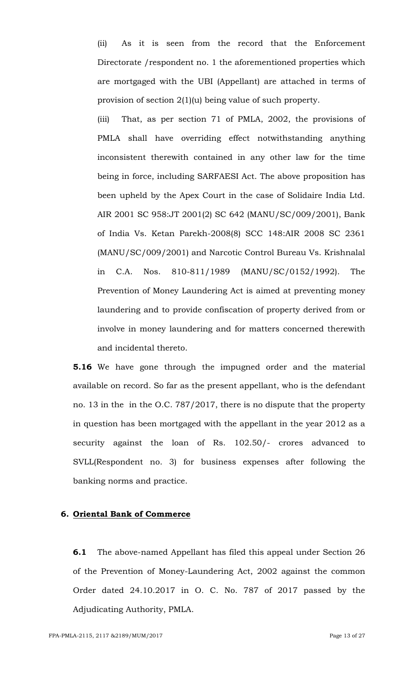(ii) As it is seen from the record that the Enforcement Directorate /respondent no. 1 the aforementioned properties which are mortgaged with the UBI (Appellant) are attached in terms of provision of section 2(1)(u) being value of such property.

(iii) That, as per section 71 of PMLA, 2002, the provisions of PMLA shall have overriding effect notwithstanding anything inconsistent therewith contained in any other law for the time being in force, including SARFAESI Act. The above proposition has been upheld by the Apex Court in the case of Solidaire India Ltd. AIR 2001 SC 958:JT 2001(2) SC 642 (MANU/SC/009/2001), Bank of India Vs. Ketan Parekh-2008(8) SCC 148:AIR 2008 SC 2361 (MANU/SC/009/2001) and Narcotic Control Bureau Vs. Krishnalal in C.A. Nos. 810-811/1989 (MANU/SC/0152/1992). The Prevention of Money Laundering Act is aimed at preventing money laundering and to provide confiscation of property derived from or involve in money laundering and for matters concerned therewith and incidental thereto.

**5.16** We have gone through the impugned order and the material available on record. So far as the present appellant, who is the defendant no. 13 in the in the O.C. 787/2017, there is no dispute that the property in question has been mortgaged with the appellant in the year 2012 as a security against the loan of Rs. 102.50/- crores advanced to SVLL(Respondent no. 3) for business expenses after following the banking norms and practice.

### **6. Oriental Bank of Commerce**

**6.1** The above-named Appellant has filed this appeal under Section 26 of the Prevention of Money-Laundering Act, 2002 against the common Order dated 24.10.2017 in O. C. No. 787 of 2017 passed by the Adjudicating Authority, PMLA.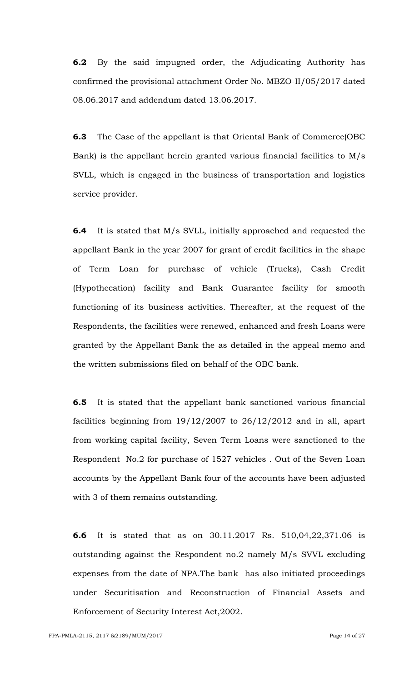**6.2** By the said impugned order, the Adjudicating Authority has confirmed the provisional attachment Order No. MBZO-II/05/2017 dated 08.06.2017 and addendum dated 13.06.2017.

**6.3** The Case of the appellant is that Oriental Bank of Commerce(OBC Bank) is the appellant herein granted various financial facilities to M/s SVLL, which is engaged in the business of transportation and logistics service provider.

**6.4** It is stated that M/s SVLL, initially approached and requested the appellant Bank in the year 2007 for grant of credit facilities in the shape of Term Loan for purchase of vehicle (Trucks), Cash Credit (Hypothecation) facility and Bank Guarantee facility for smooth functioning of its business activities. Thereafter, at the request of the Respondents, the facilities were renewed, enhanced and fresh Loans were granted by the Appellant Bank the as detailed in the appeal memo and the written submissions filed on behalf of the OBC bank.

**6.5** It is stated that the appellant bank sanctioned various financial facilities beginning from  $19/12/2007$  to  $26/12/2012$  and in all, apart from working capital facility, Seven Term Loans were sanctioned to the Respondent No.2 for purchase of 1527 vehicles . Out of the Seven Loan accounts by the Appellant Bank four of the accounts have been adjusted with 3 of them remains outstanding.

**6.6** It is stated that as on 30.11.2017 Rs. 510,04,22,371.06 is outstanding against the Respondent no.2 namely M/s SVVL excluding expenses from the date of NPA.The bank has also initiated proceedings under Securitisation and Reconstruction of Financial Assets and Enforcement of Security Interest Act,2002.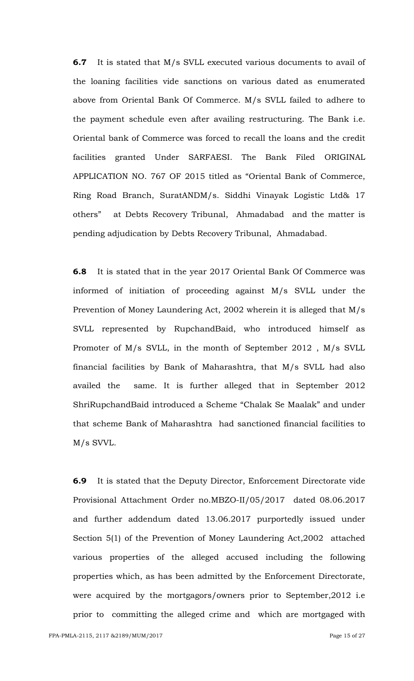**6.7** It is stated that M/s SVLL executed various documents to avail of the loaning facilities vide sanctions on various dated as enumerated above from Oriental Bank Of Commerce. M/s SVLL failed to adhere to the payment schedule even after availing restructuring. The Bank i.e. Oriental bank of Commerce was forced to recall the loans and the credit facilities granted Under SARFAESI. The Bank Filed ORIGINAL APPLICATION NO. 767 OF 2015 titled as "Oriental Bank of Commerce, Ring Road Branch, SuratANDM/s. Siddhi Vinayak Logistic Ltd& 17 others" at Debts Recovery Tribunal, Ahmadabad and the matter is pending adjudication by Debts Recovery Tribunal, Ahmadabad.

**6.8** It is stated that in the year 2017 Oriental Bank Of Commerce was informed of initiation of proceeding against M/s SVLL under the Prevention of Money Laundering Act, 2002 wherein it is alleged that M/s SVLL represented by RupchandBaid, who introduced himself as Promoter of M/s SVLL, in the month of September 2012 , M/s SVLL financial facilities by Bank of Maharashtra, that M/s SVLL had also availed the same. It is further alleged that in September 2012 ShriRupchandBaid introduced a Scheme "Chalak Se Maalak" and under that scheme Bank of Maharashtra had sanctioned financial facilities to M/s SVVL.

**6.9** It is stated that the Deputy Director, Enforcement Directorate vide Provisional Attachment Order no.MBZO-II/05/2017 dated 08.06.2017 and further addendum dated 13.06.2017 purportedly issued under Section 5(1) of the Prevention of Money Laundering Act,2002 attached various properties of the alleged accused including the following properties which, as has been admitted by the Enforcement Directorate, were acquired by the mortgagors/owners prior to September,2012 i.e prior to committing the alleged crime and which are mortgaged with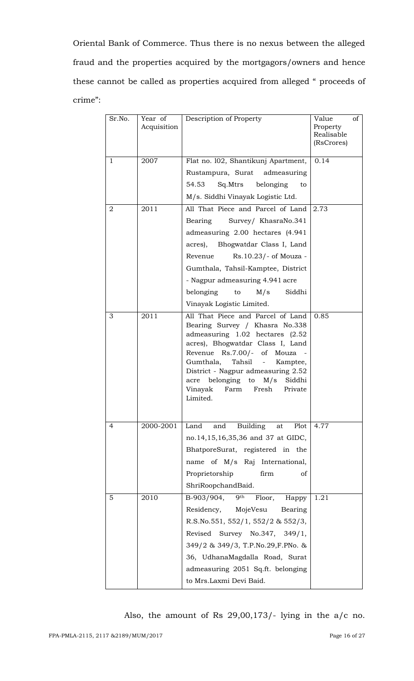Oriental Bank of Commerce. Thus there is no nexus between the alleged fraud and the properties acquired by the mortgagors/owners and hence these cannot be called as properties acquired from alleged " proceeds of crime":

| Sr.No.       | Year of<br>Acquisition | Description of Property                                                                                                                                                                                                                                                                                                          | Value<br>of<br>Property<br>Realisable<br>(RsCrores) |
|--------------|------------------------|----------------------------------------------------------------------------------------------------------------------------------------------------------------------------------------------------------------------------------------------------------------------------------------------------------------------------------|-----------------------------------------------------|
| $\mathbf{1}$ | 2007                   | Flat no. 102, Shantikunj Apartment,<br>Rustampura, Surat admeasuring<br>54.53<br>Sq.Mtrs<br>belonging<br>to<br>M/s. Siddhi Vinayak Logistic Ltd.                                                                                                                                                                                 | 0.14                                                |
| 2            | 2011                   | All That Piece and Parcel of Land<br>Bearing<br>Survey/ KhasraNo.341<br>admeasuring 2.00 hectares (4.941<br>acres), Bhogwatdar Class I, Land<br>Revenue<br>Rs.10.23/- of Mouza -<br>Gumthala, Tahsil-Kamptee, District<br>- Nagpur admeasuring 4.941 acre<br>M/s<br>Siddhi<br>belonging<br>to<br>Vinayak Logistic Limited.       | 2.73                                                |
| 3            | 2011                   | All That Piece and Parcel of Land<br>Bearing Survey / Khasra No.338<br>admeasuring 1.02 hectares (2.52<br>acres), Bhogwatdar Class I, Land<br>Revenue Rs.7.00/- of Mouza<br>Gumthala, Tahsil - Kamptee,<br>District - Nagpur admeasuring 2.52<br>acre belonging to M/s Siddhi<br>Vinayak<br>Fresh<br>Private<br>Farm<br>Limited. | 0.85                                                |
| 4            | 2000-2001              | <b>Building</b><br>Land<br>and<br>Plot<br>at<br>no.14,15,16,35,36 and 37 at GIDC,<br>BhatporeSurat, registered in the<br>name of M/s Raj International,<br>Proprietorship<br>firm<br>of<br>ShriRoopchandBaid.                                                                                                                    | 4.77                                                |
| 5            | 2010                   | B-903/904,<br>9 <sup>th</sup><br>Floor,<br>Happy<br>Residency,<br>MojeVesu<br>Bearing<br>R.S.No.551, $552/1$ , $552/2$ & $552/3$ ,<br>Revised Survey No.347, 349/1,<br>349/2 & 349/3, T.P.No.29, F.PNo. &<br>36, UdhanaMagdalla Road, Surat<br>admeasuring 2051 Sq.ft. belonging<br>to Mrs.Laxmi Devi Baid.                      | 1.21                                                |

Also, the amount of Rs 29,00,173/- lying in the a/c no.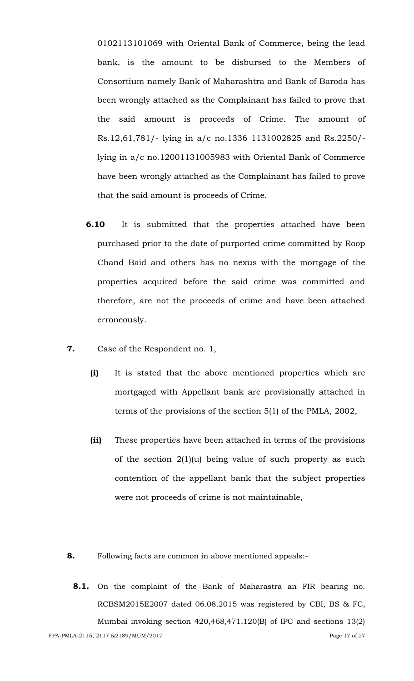0102113101069 with Oriental Bank of Commerce, being the lead bank, is the amount to be disbursed to the Members of Consortium namely Bank of Maharashtra and Bank of Baroda has been wrongly attached as the Complainant has failed to prove that the said amount is proceeds of Crime. The amount of Rs.12,61,781/- lying in a/c no.1336 1131002825 and Rs.2250/ lying in a/c no.12001131005983 with Oriental Bank of Commerce have been wrongly attached as the Complainant has failed to prove that the said amount is proceeds of Crime.

- **6.10** It is submitted that the properties attached have been purchased prior to the date of purported crime committed by Roop Chand Baid and others has no nexus with the mortgage of the properties acquired before the said crime was committed and therefore, are not the proceeds of crime and have been attached erroneously.
- **7.** Case of the Respondent no. 1,
	- **(i)** It is stated that the above mentioned properties which are mortgaged with Appellant bank are provisionally attached in terms of the provisions of the section 5(1) of the PMLA, 2002,
	- **(ii)** These properties have been attached in terms of the provisions of the section  $2(1)(u)$  being value of such property as such contention of the appellant bank that the subject properties were not proceeds of crime is not maintainable,
- **8.** Following facts are common in above mentioned appeals:-
- FPA-PMLA-2115, 2117 & 2189/MUM/2017 Page 17 of 27 **8.1.** On the complaint of the Bank of Maharastra an FIR bearing no. RCBSM2015E2007 dated 06.08.2015 was registered by CBI, BS & FC, Mumbai invoking section 420,468,471,120(B) of IPC and sections 13(2)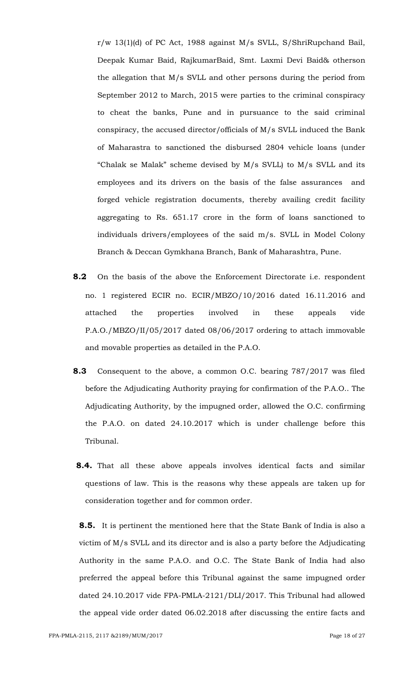r/w 13(1)(d) of PC Act, 1988 against M/s SVLL, S/ShriRupchand Bail, Deepak Kumar Baid, RajkumarBaid, Smt. Laxmi Devi Baid& otherson the allegation that M/s SVLL and other persons during the period from September 2012 to March, 2015 were parties to the criminal conspiracy to cheat the banks, Pune and in pursuance to the said criminal conspiracy, the accused director/officials of M/s SVLL induced the Bank of Maharastra to sanctioned the disbursed 2804 vehicle loans (under "Chalak se Malak" scheme devised by M/s SVLL) to M/s SVLL and its employees and its drivers on the basis of the false assurances and forged vehicle registration documents, thereby availing credit facility aggregating to Rs. 651.17 crore in the form of loans sanctioned to individuals drivers/employees of the said m/s. SVLL in Model Colony Branch & Deccan Gymkhana Branch, Bank of Maharashtra, Pune.

- **8.2** On the basis of the above the Enforcement Directorate i.e. respondent no. 1 registered ECIR no. ECIR/MBZO/10/2016 dated 16.11.2016 and attached the properties involved in these appeals vide P.A.O./MBZO/II/05/2017 dated 08/06/2017 ordering to attach immovable and movable properties as detailed in the P.A.O.
- **8.3** Consequent to the above, a common O.C. bearing 787/2017 was filed before the Adjudicating Authority praying for confirmation of the P.A.O.. The Adjudicating Authority, by the impugned order, allowed the O.C. confirming the P.A.O. on dated 24.10.2017 which is under challenge before this Tribunal.
- **8.4.** That all these above appeals involves identical facts and similar questions of law. This is the reasons why these appeals are taken up for consideration together and for common order.

**8.5.** It is pertinent the mentioned here that the State Bank of India is also a victim of M/s SVLL and its director and is also a party before the Adjudicating Authority in the same P.A.O. and O.C. The State Bank of India had also preferred the appeal before this Tribunal against the same impugned order dated 24.10.2017 vide FPA-PMLA-2121/DLI/2017. This Tribunal had allowed the appeal vide order dated 06.02.2018 after discussing the entire facts and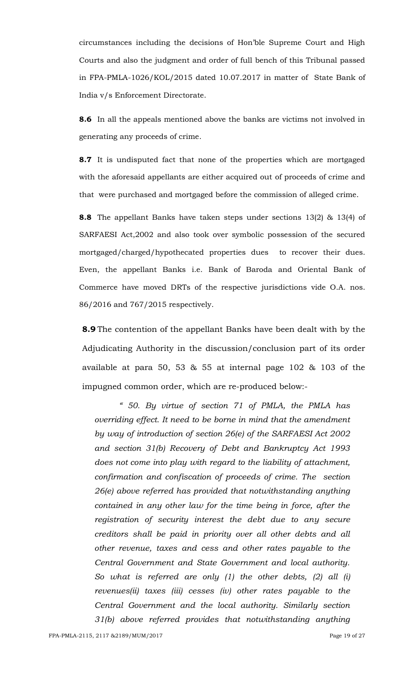circumstances including the decisions of Hon"ble Supreme Court and High Courts and also the judgment and order of full bench of this Tribunal passed in FPA-PMLA-1026/KOL/2015 dated 10.07.2017 in matter of State Bank of India v/s Enforcement Directorate.

**8.6** In all the appeals mentioned above the banks are victims not involved in generating any proceeds of crime.

**8.7** It is undisputed fact that none of the properties which are mortgaged with the aforesaid appellants are either acquired out of proceeds of crime and that were purchased and mortgaged before the commission of alleged crime.

**8.8** The appellant Banks have taken steps under sections 13(2) & 13(4) of SARFAESI Act,2002 and also took over symbolic possession of the secured mortgaged/charged/hypothecated properties dues to recover their dues. Even, the appellant Banks i.e. Bank of Baroda and Oriental Bank of Commerce have moved DRTs of the respective jurisdictions vide O.A. nos. 86/2016 and 767/2015 respectively.

**8.9** The contention of the appellant Banks have been dealt with by the Adjudicating Authority in the discussion/conclusion part of its order available at para 50, 53 & 55 at internal page 102 & 103 of the impugned common order, which are re-produced below:-

*" 50. By virtue of section 71 of PMLA, the PMLA has overriding effect. It need to be borne in mind that the amendment by way of introduction of section 26(e) of the SARFAESI Act 2002 and section 31(b) Recovery of Debt and Bankruptcy Act 1993 does not come into play with regard to the liability of attachment, confirmation and confiscation of proceeds of crime. The section 26(e) above referred has provided that notwithstanding anything contained in any other law for the time being in force, after the registration of security interest the debt due to any secure creditors shall be paid in priority over all other debts and all other revenue, taxes and cess and other rates payable to the Central Government and State Government and local authority. So what is referred are only (1) the other debts, (2) all (i) revenues(ii) taxes (iii) cesses (iv) other rates payable to the Central Government and the local authority. Similarly section 31(b) above referred provides that notwithstanding anything*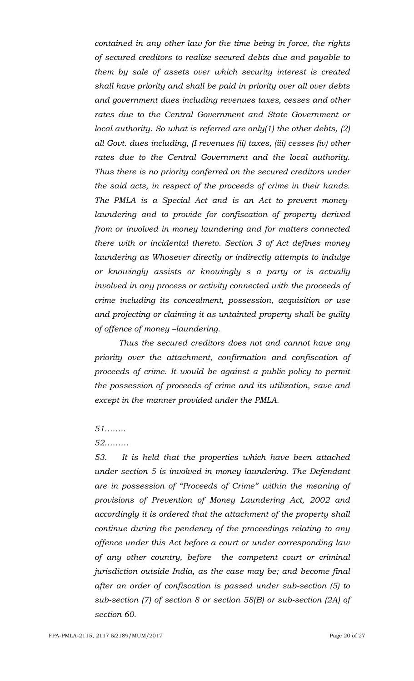*contained in any other law for the time being in force, the rights of secured creditors to realize secured debts due and payable to them by sale of assets over which security interest is created shall have priority and shall be paid in priority over all over debts and government dues including revenues taxes, cesses and other rates due to the Central Government and State Government or local authority. So what is referred are only(1) the other debts, (2) all Govt. dues including, (I revenues (ii) taxes, (iii) cesses (iv) other rates due to the Central Government and the local authority. Thus there is no priority conferred on the secured creditors under the said acts, in respect of the proceeds of crime in their hands. The PMLA is a Special Act and is an Act to prevent moneylaundering and to provide for confiscation of property derived from or involved in money laundering and for matters connected there with or incidental thereto. Section 3 of Act defines money laundering as Whosever directly or indirectly attempts to indulge or knowingly assists or knowingly s a party or is actually involved in any process or activity connected with the proceeds of crime including its concealment, possession, acquisition or use and projecting or claiming it as untainted property shall be guilty of offence of money –laundering.*

*Thus the secured creditors does not and cannot have any priority over the attachment, confirmation and confiscation of proceeds of crime. It would be against a public policy to permit the possession of proceeds of crime and its utilization, save and except in the manner provided under the PMLA.*

#### *51……..*

#### *52………*

*53. It is held that the properties which have been attached under section 5 is involved in money laundering. The Defendant are in possession of "Proceeds of Crime" within the meaning of provisions of Prevention of Money Laundering Act, 2002 and accordingly it is ordered that the attachment of the property shall continue during the pendency of the proceedings relating to any offence under this Act before a court or under corresponding law of any other country, before the competent court or criminal jurisdiction outside India, as the case may be; and become final after an order of confiscation is passed under sub-section (5) to sub-section (7) of section 8 or section 58(B) or sub-section (2A) of section 60.*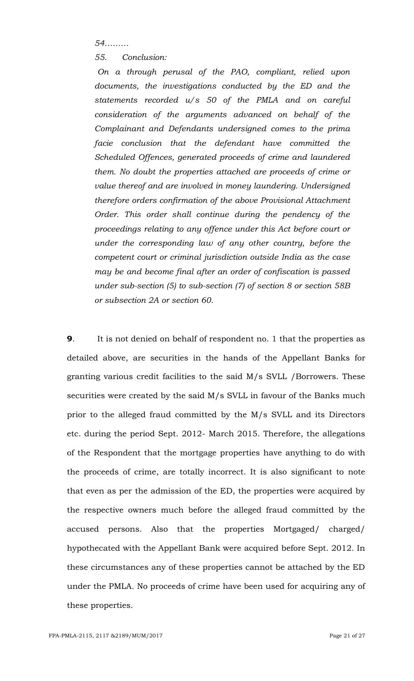*54………*

*55. Conclusion:*

*On a through perusal of the PAO, compliant, relied upon documents, the investigations conducted by the ED and the statements recorded u/s 50 of the PMLA and on careful consideration of the arguments advanced on behalf of the Complainant and Defendants undersigned comes to the prima facie conclusion that the defendant have committed the Scheduled Offences, generated proceeds of crime and laundered them. No doubt the properties attached are proceeds of crime or value thereof and are involved in money laundering. Undersigned therefore orders confirmation of the above Provisional Attachment Order. This order shall continue during the pendency of the proceedings relating to any offence under this Act before court or under the corresponding law of any other country, before the competent court or criminal jurisdiction outside India as the case may be and become final after an order of confiscation is passed under sub-section (5) to sub-section (7) of section 8 or section 58B or subsection 2A or section 60.*

**9**. It is not denied on behalf of respondent no. 1 that the properties as detailed above, are securities in the hands of the Appellant Banks for granting various credit facilities to the said M/s SVLL /Borrowers. These securities were created by the said M/s SVLL in favour of the Banks much prior to the alleged fraud committed by the M/s SVLL and its Directors etc. during the period Sept. 2012- March 2015. Therefore, the allegations of the Respondent that the mortgage properties have anything to do with the proceeds of crime, are totally incorrect. It is also significant to note that even as per the admission of the ED, the properties were acquired by the respective owners much before the alleged fraud committed by the accused persons. Also that the properties Mortgaged/ charged/ hypothecated with the Appellant Bank were acquired before Sept. 2012. In these circumstances any of these properties cannot be attached by the ED under the PMLA. No proceeds of crime have been used for acquiring any of these properties.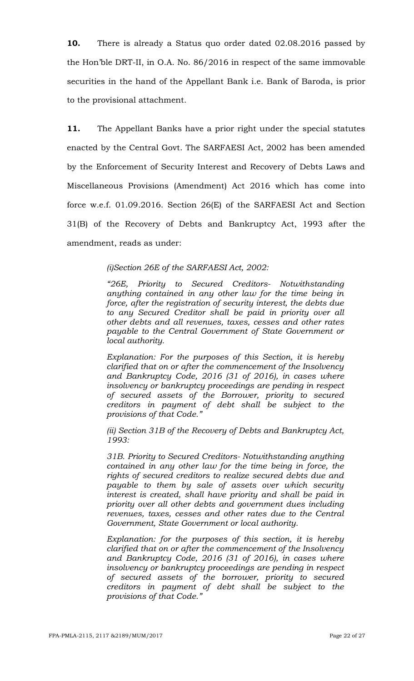**10.** There is already a Status quo order dated 02.08.2016 passed by the Hon"ble DRT-II, in O.A. No. 86/2016 in respect of the same immovable securities in the hand of the Appellant Bank i.e. Bank of Baroda, is prior to the provisional attachment.

**11.** The Appellant Banks have a prior right under the special statutes enacted by the Central Govt. The SARFAESI Act, 2002 has been amended by the Enforcement of Security Interest and Recovery of Debts Laws and Miscellaneous Provisions (Amendment) Act 2016 which has come into force w.e.f. 01.09.2016. Section 26(E) of the SARFAESI Act and Section 31(B) of the Recovery of Debts and Bankruptcy Act, 1993 after the amendment, reads as under:

### *(i)Section 26E of the SARFAESI Act, 2002:*

*"26E, Priority to Secured Creditors- Notwithstanding anything contained in any other law for the time being in force, after the registration of security interest, the debts due to any Secured Creditor shall be paid in priority over all other debts and all revenues, taxes, cesses and other rates payable to the Central Government of State Government or local authority.*

*Explanation: For the purposes of this Section, it is hereby clarified that on or after the commencement of the Insolvency and Bankruptcy Code, 2016 (31 of 2016), in cases where insolvency or bankruptcy proceedings are pending in respect of secured assets of the Borrower, priority to secured creditors in payment of debt shall be subject to the provisions of that Code."*

*(ii) Section 31B of the Recovery of Debts and Bankruptcy Act, 1993:*

*31B. Priority to Secured Creditors- Notwithstanding anything contained in any other law for the time being in force, the rights of secured creditors to realize secured debts due and payable to them by sale of assets over which security interest is created, shall have priority and shall be paid in priority over all other debts and government dues including revenues, taxes, cesses and other rates due to the Central Government, State Government or local authority.*

*Explanation: for the purposes of this section, it is hereby clarified that on or after the commencement of the Insolvency and Bankruptcy Code, 2016 (31 of 2016), in cases where insolvency or bankruptcy proceedings are pending in respect of secured assets of the borrower, priority to secured creditors in payment of debt shall be subject to the provisions of that Code."*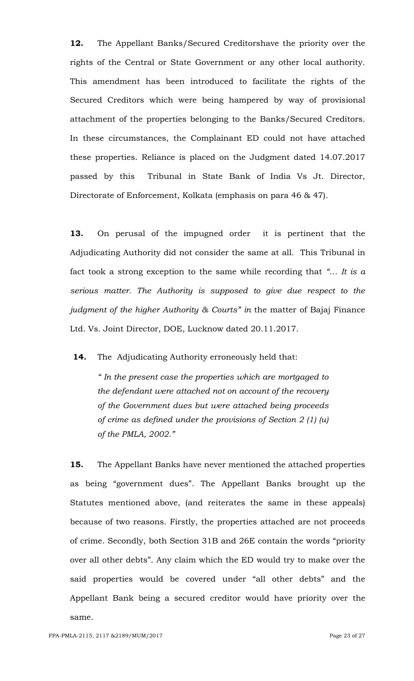**12.** The Appellant Banks/Secured Creditorshave the priority over the rights of the Central or State Government or any other local authority. This amendment has been introduced to facilitate the rights of the Secured Creditors which were being hampered by way of provisional attachment of the properties belonging to the Banks/Secured Creditors. In these circumstances, the Complainant ED could not have attached these properties. Reliance is placed on the Judgment dated 14.07.2017 passed by this Tribunal in State Bank of India Vs Jt. Director, Directorate of Enforcement, Kolkata (emphasis on para 46 & 47).

**13.** On perusal of the impugned order it is pertinent that the Adjudicating Authority did not consider the same at all. This Tribunal in fact took a strong exception to the same while recording that *"… It is a serious matter. The Authority is supposed to give due respect to the judgment of the higher Authority & Courts" in* the matter of Bajaj Finance Ltd. Vs. Joint Director, DOE, Lucknow dated 20.11.2017.

### **14.** The Adjudicating Authority erroneously held that:

*" In the present case the properties which are mortgaged to the defendant were attached not on account of the recovery of the Government dues but were attached being proceeds of crime as defined under the provisions of Section 2 (1) (u) of the PMLA, 2002."*

**15.** The Appellant Banks have never mentioned the attached properties as being "government dues". The Appellant Banks brought up the Statutes mentioned above, (and reiterates the same in these appeals) because of two reasons. Firstly, the properties attached are not proceeds of crime. Secondly, both Section 31B and 26E contain the words "priority over all other debts". Any claim which the ED would try to make over the said properties would be covered under "all other debts" and the Appellant Bank being a secured creditor would have priority over the same.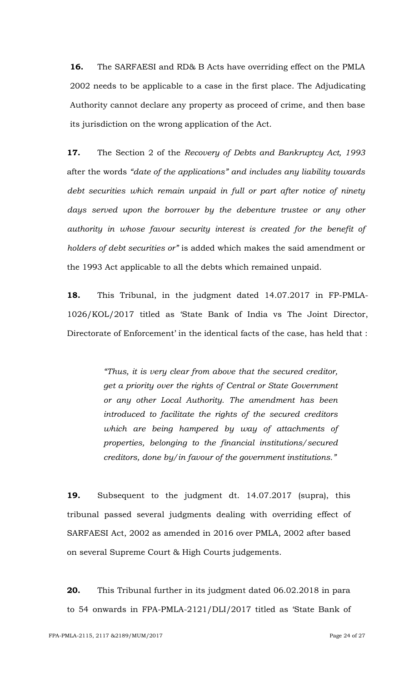**16.** The SARFAESI and RD& B Acts have overriding effect on the PMLA 2002 needs to be applicable to a case in the first place. The Adjudicating Authority cannot declare any property as proceed of crime, and then base its jurisdiction on the wrong application of the Act.

**17.** The Section 2 of the *Recovery of Debts and Bankruptcy Act, 1993*  after the words *"date of the applications" and includes any liability towards*  debt securities which remain unpaid in full or part after notice of ninety *days served upon the borrower by the debenture trustee or any other authority in whose favour security interest is created for the benefit of holders of debt securities or"* is added which makes the said amendment or the 1993 Act applicable to all the debts which remained unpaid.

**18.** This Tribunal, in the judgment dated 14.07.2017 in FP-PMLA-1026/KOL/2017 titled as "State Bank of India vs The Joint Director, Directorate of Enforcement' in the identical facts of the case, has held that :

> *"Thus, it is very clear from above that the secured creditor, get a priority over the rights of Central or State Government or any other Local Authority. The amendment has been introduced to facilitate the rights of the secured creditors which are being hampered by way of attachments of properties, belonging to the financial institutions/secured creditors, done by/in favour of the government institutions."*

**19.** Subsequent to the judgment dt. 14.07.2017 (supra), this tribunal passed several judgments dealing with overriding effect of SARFAESI Act, 2002 as amended in 2016 over PMLA, 2002 after based on several Supreme Court & High Courts judgements.

**20.** This Tribunal further in its judgment dated 06.02.2018 in para to 54 onwards in FPA-PMLA-2121/DLI/2017 titled as "State Bank of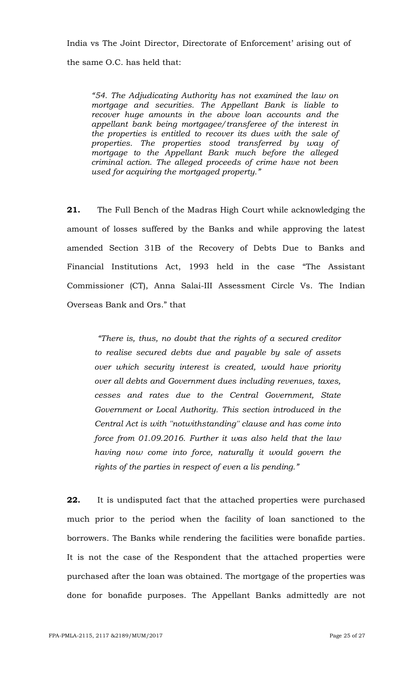India vs The Joint Director, Directorate of Enforcement' arising out of

the same O.C. has held that:

*"54. The Adjudicating Authority has not examined the law on mortgage and securities. The Appellant Bank is liable to recover huge amounts in the above loan accounts and the appellant bank being mortgagee/transferee of the interest in the properties is entitled to recover its dues with the sale of properties. The properties stood transferred by way of mortgage to the Appellant Bank much before the alleged criminal action. The alleged proceeds of crime have not been used for acquiring the mortgaged property."*

**21.** The Full Bench of the Madras High Court while acknowledging the amount of losses suffered by the Banks and while approving the latest amended Section 31B of the Recovery of Debts Due to Banks and Financial Institutions Act, 1993 held in the case "The Assistant Commissioner (CT), Anna Salai-III Assessment Circle Vs. The Indian Overseas Bank and Ors." that

*"There is, thus, no doubt that the rights of a secured creditor to realise secured debts due and payable by sale of assets over which security interest is created, would have priority over all debts and Government dues including revenues, taxes, cesses and rates due to the Central Government, State Government or Local Authority. This section introduced in the Central Act is with ''notwithstanding'' clause and has come into force from 01.09.2016. Further it was also held that the law having now come into force, naturally it would govern the rights of the parties in respect of even a lis pending."*

**22.** It is undisputed fact that the attached properties were purchased much prior to the period when the facility of loan sanctioned to the borrowers. The Banks while rendering the facilities were bonafide parties. It is not the case of the Respondent that the attached properties were purchased after the loan was obtained. The mortgage of the properties was done for bonafide purposes. The Appellant Banks admittedly are not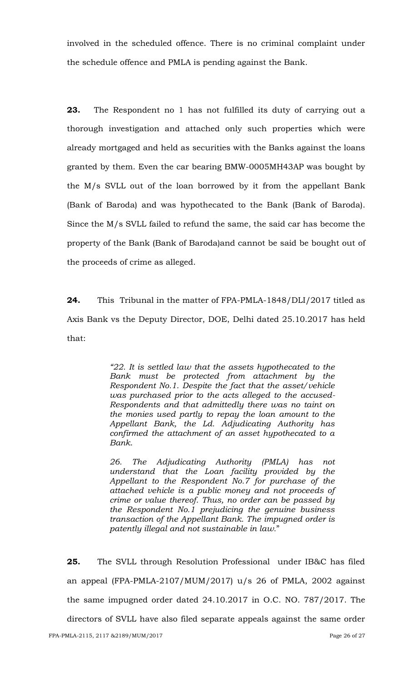involved in the scheduled offence. There is no criminal complaint under the schedule offence and PMLA is pending against the Bank.

**23.** The Respondent no 1 has not fulfilled its duty of carrying out a thorough investigation and attached only such properties which were already mortgaged and held as securities with the Banks against the loans granted by them. Even the car bearing BMW-0005MH43AP was bought by the M/s SVLL out of the loan borrowed by it from the appellant Bank (Bank of Baroda) and was hypothecated to the Bank (Bank of Baroda). Since the M/s SVLL failed to refund the same, the said car has become the property of the Bank (Bank of Baroda)and cannot be said be bought out of the proceeds of crime as alleged.

**24.** This Tribunal in the matter of FPA-PMLA-1848/DLI/2017 titled as Axis Bank vs the Deputy Director, DOE, Delhi dated 25.10.2017 has held that:

> *"22. It is settled law that the assets hypothecated to the Bank must be protected from attachment by the Respondent No.1. Despite the fact that the asset/vehicle was purchased prior to the acts alleged to the accused-Respondents and that admittedly there was no taint on the monies used partly to repay the loan amount to the Appellant Bank, the Ld. Adjudicating Authority has confirmed the attachment of an asset hypothecated to a Bank*.

> *26. The Adjudicating Authority (PMLA) has not understand that the Loan facility provided by the Appellant to the Respondent No.7 for purchase of the attached vehicle is a public money and not proceeds of crime or value thereof. Thus, no order can be passed by the Respondent No.1 prejudicing the genuine business transaction of the Appellant Bank. The impugned order is patently illegal and not sustainable in law.*"

**25.** The SVLL through Resolution Professional under IB&C has filed an appeal (FPA-PMLA-2107/MUM/2017) u/s 26 of PMLA, 2002 against the same impugned order dated 24.10.2017 in O.C. NO. 787/2017. The directors of SVLL have also filed separate appeals against the same order